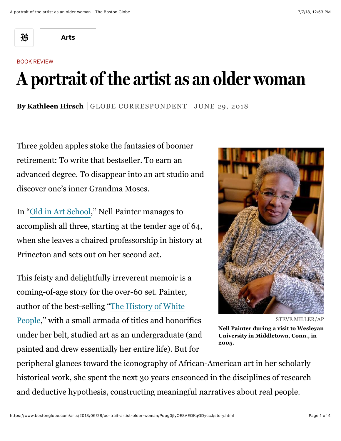邳

**[Arts](https://www.bostonglobe.com/arts?p1=BGHeader_SectionLink)**

## BOOK REVIEW

## **A portrait of the artist as an older woman**

By Kathleen Hirsch | GLOBE CORRESPONDENT JUNE 29, 2018

Three golden apples stoke the fantasies of boomer retirement: To write that bestseller. To earn an advanced degree. To disappear into an art studio and discover one's inner Grandma Moses.

In ["Old in Art School,](https://www.amazon.com/gp/product/1640090614/ref=as_li_qf_asin_il_tl?ie=UTF8&tag=bostoncom02-20&creative=9325&linkCode=as2&creativeASIN=1640090614&linkId=bd4547b4e0f07ea4e9cdbd8081900d37)'' Nell Painter manages to accomplish all three, starting at the tender age of 64, when she leaves a chaired professorship in history at Princeton and sets out on her second act.

This feisty and delightfully irreverent memoir is a coming-of-age story for the over-60 set. Painter, author of the best-selling "The History of White [People,'' with a small armada of titles and honor](https://www.amazon.com/gp/product/0393339742/ref=as_li_qf_asin_il_tl?ie=UTF8&tag=bostoncom02-20&creative=9325&linkCode=as2&creativeASIN=0393339742&linkId=ea8e1a0bef62740d8f6b2eaddce7e425)ifics under her belt, studied art as an undergraduate (and painted and drew essentially her entire life). But for



STEVE MILLER/AP

**Nell Painter during a visit to Wesleyan University in Middletown, Conn., in 2005.**

peripheral glances toward the iconography of African-American art in her scholarly historical work, she spent the next 30 years ensconced in the disciplines of research and deductive hypothesis, constructing meaningful narratives about real people.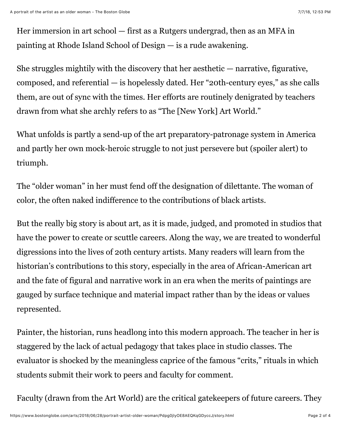Her immersion in art school — first as a Rutgers undergrad, then as an MFA in painting at Rhode Island School of Design — is a rude awakening.

She struggles mightily with the discovery that her aesthetic  $-$  narrative, figurative, composed, and referential — is hopelessly dated. Her "20th-century eyes," as she calls them, are out of sync with the times. Her efforts are routinely denigrated by teachers drawn from what she archly refers to as "The [New York] Art World."

What unfolds is partly a send-up of the art preparatory-patronage system in America and partly her own mock-heroic struggle to not just persevere but (spoiler alert) to triumph.

The "older woman" in her must fend off the designation of dilettante. The woman of color, the often naked indifference to the contributions of black artists.

But the really big story is about art, as it is made, judged, and promoted in studios that have the power to create or scuttle careers. Along the way, we are treated to wonderful digressions into the lives of 20th century artists. Many readers will learn from the historian's contributions to this story, especially in the area of African-American art and the fate of figural and narrative work in an era when the merits of paintings are gauged by surface technique and material impact rather than by the ideas or values represented.

Painter, the historian, runs headlong into this modern approach. The teacher in her is staggered by the lack of actual pedagogy that takes place in studio classes. The evaluator is shocked by the meaningless caprice of the famous "crits," rituals in which students submit their work to peers and faculty for comment.

Faculty (drawn from the Art World) are the critical gatekeepers of future careers. They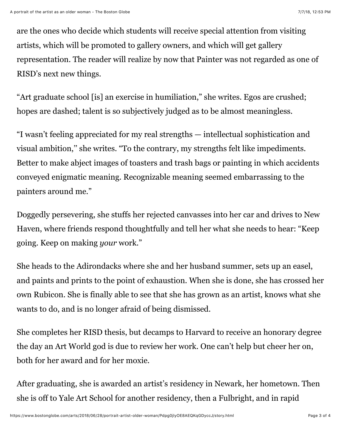are the ones who decide which students will receive special attention from visiting artists, which will be promoted to gallery owners, and which will get gallery representation. The reader will realize by now that Painter was not regarded as one of RISD's next new things.

"Art graduate school [is] an exercise in humiliation," she writes. Egos are crushed; hopes are dashed; talent is so subjectively judged as to be almost meaningless.

"I wasn't feeling appreciated for my real strengths — intellectual sophistication and visual ambition,'' she writes. "To the contrary, my strengths felt like impediments. Better to make abject images of toasters and trash bags or painting in which accidents conveyed enigmatic meaning. Recognizable meaning seemed embarrassing to the painters around me."

Doggedly persevering, she stuffs her rejected canvasses into her car and drives to New Haven, where friends respond thoughtfully and tell her what she needs to hear: "Keep going. Keep on making *your* work."

She heads to the Adirondacks where she and her husband summer, sets up an easel, and paints and prints to the point of exhaustion. When she is done, she has crossed her own Rubicon. She is finally able to see that she has grown as an artist, knows what she wants to do, and is no longer afraid of being dismissed.

She completes her RISD thesis, but decamps to Harvard to receive an honorary degree the day an Art World god is due to review her work. One can't help but cheer her on, both for her award and for her moxie.

After graduating, she is awarded an artist's residency in Newark, her hometown. Then she is off to Yale Art School for another residency, then a Fulbright, and in rapid